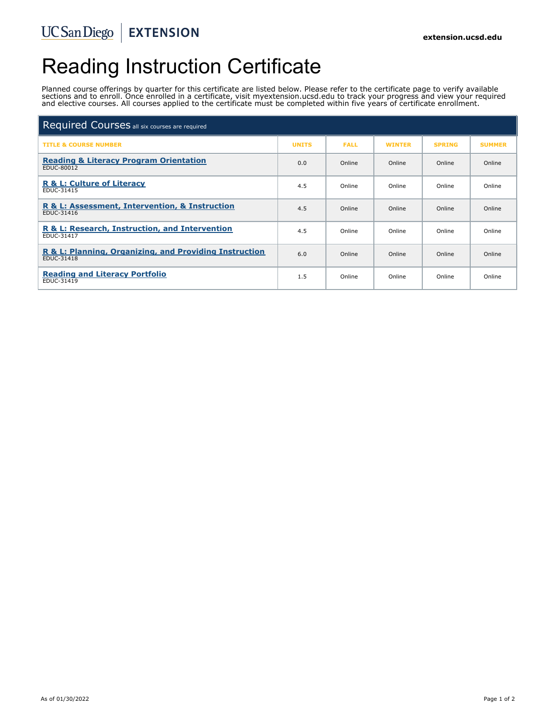# Reading Instruction Certificate

Planned course offerings by quarter for this certificate are listed below. Please refer to the certificate page to verify available sections and to enroll. Once enrolled in a certificate, visit myextension.ucsd.edu to track your progress and view your required and elective courses. All courses applied to the certificate must be completed within five years of certificate enrollment.

| Required Courses all six courses are required                        |              |             |               |               |               |
|----------------------------------------------------------------------|--------------|-------------|---------------|---------------|---------------|
| <b>TITLE &amp; COURSE NUMBER</b>                                     | <b>UNITS</b> | <b>FALL</b> | <b>WINTER</b> | <b>SPRING</b> | <b>SUMMER</b> |
| <b>Reading &amp; Literacy Program Orientation</b><br>EDUC-80012      | 0.0          | Online      | Online        | Online        | Online        |
| <b>R &amp; L: Culture of Literacy</b><br>EDUC-31415                  | 4.5          | Online      | Online        | Online        | Online        |
| R & L: Assessment, Intervention, & Instruction<br><b>EDUC-31416</b>  | 4.5          | Online      | Online        | Online        | Online        |
| R & L: Research, Instruction, and Intervention<br><b>EDUC-31417</b>  | 4.5          | Online      | Online        | Online        | Online        |
| R & L: Planning, Organizing, and Providing Instruction<br>EDUC-31418 | 6.0          | Online      | Online        | Online        | Online        |
| <b>Reading and Literacy Portfolio</b><br>EDUC-31419                  | 1.5          | Online      | Online        | Online        | Online        |